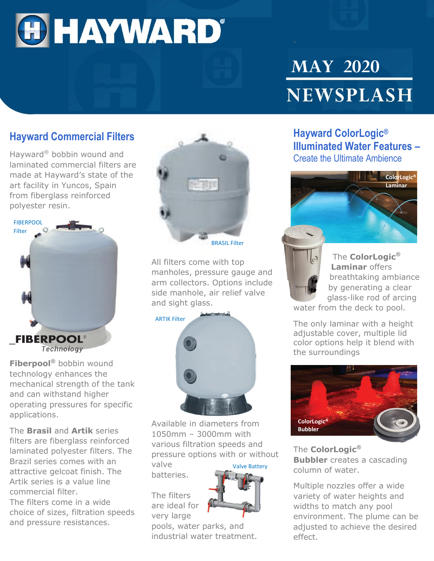

# **MAY 2020** NEWSPLASH

#### **Hayward Commercial Filters**

Hayward® bobbin wound and laminated commercial filters are made at Hayward's state of the art facility in Yuncos, Spain from fiberglass reinforced polyester resin.



**Fiberpool®** bobbin wound technology enhances the mechanical strength of the tank and can withstand higher operating pressures for specific applications.

The **Brasil** and **Artik** series filters are fiberglass reinforced laminated polyester filters. The Brazil series comes with an attractive gelcoat finish. The Artik series is a value line commercial filter.

The filters come in a wide choice of sizes, filtration speeds and pressure resistances.



All filters come with top manholes, pressure gauge and arm collectors. Options include side manhole, air relief valve and sight glass.

ARTIK Filter



Available in diameters from 1050mm – 3000mm with various filtration speeds and pressure options with or without valve Valve Battery

batteries.

The filters are ideal for very large



pools, water parks, and industrial water treatment.

#### **Hayward ColorLogic® Illuminated Water Features –** Create the Ultimate Ambience





The **ColorLogic® Laminar** offers breathtaking ambiance by generating a clear glass-like rod of arcing

water from the deck to pool.

The only laminar with a height adjustable cover, multiple lid color options help it blend with the surroundings



The **ColorLogic® Bubbler** creates a cascading column of water.

Multiple nozzles offer a wide variety of water heights and widths to match any pool environment. The plume can be adjusted to achieve the desired effect.